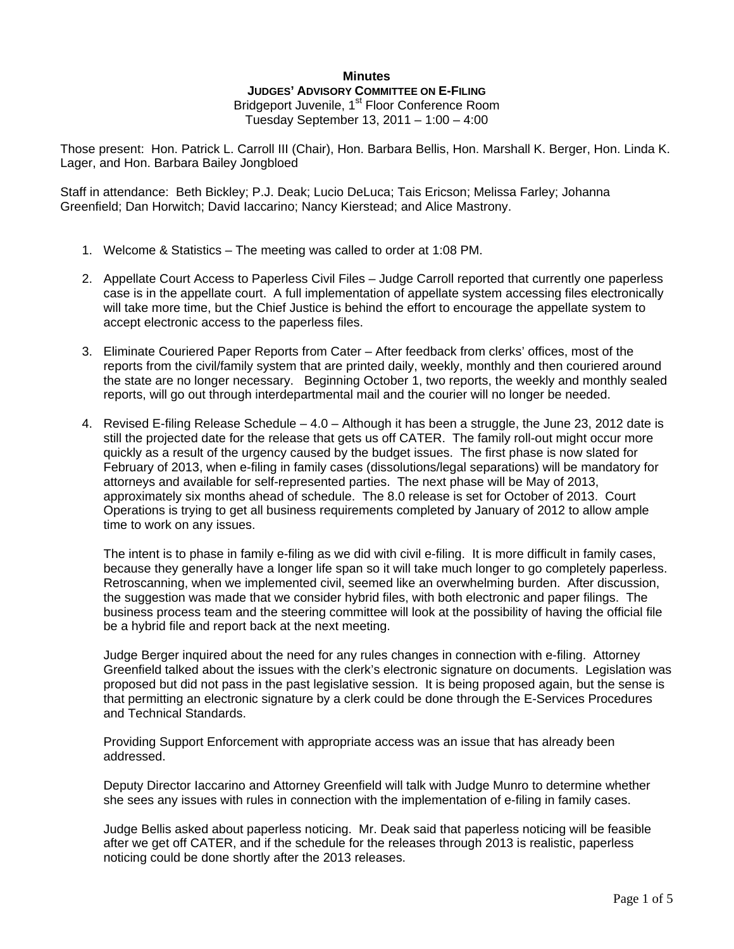## **Minutes JUDGES' ADVISORY COMMITTEE ON E-FILING** Bridgeport Juvenile, 1<sup>st</sup> Floor Conference Room Tuesday September 13, 2011 – 1:00 – 4:00

Those present: Hon. Patrick L. Carroll III (Chair), Hon. Barbara Bellis, Hon. Marshall K. Berger, Hon. Linda K. Lager, and Hon. Barbara Bailey Jongbloed

Staff in attendance: Beth Bickley; P.J. Deak; Lucio DeLuca; Tais Ericson; Melissa Farley; Johanna Greenfield; Dan Horwitch; David Iaccarino; Nancy Kierstead; and Alice Mastrony.

- 1. Welcome & Statistics The meeting was called to order at 1:08 PM.
- 2. Appellate Court Access to Paperless Civil Files Judge Carroll reported that currently one paperless case is in the appellate court. A full implementation of appellate system accessing files electronically will take more time, but the Chief Justice is behind the effort to encourage the appellate system to accept electronic access to the paperless files.
- 3. Eliminate Couriered Paper Reports from Cater After feedback from clerks' offices, most of the reports from the civil/family system that are printed daily, weekly, monthly and then couriered around the state are no longer necessary. Beginning October 1, two reports, the weekly and monthly sealed reports, will go out through interdepartmental mail and the courier will no longer be needed.
- 4. Revised E-filing Release Schedule 4.0 Although it has been a struggle, the June 23, 2012 date is still the projected date for the release that gets us off CATER. The family roll-out might occur more quickly as a result of the urgency caused by the budget issues. The first phase is now slated for February of 2013, when e-filing in family cases (dissolutions/legal separations) will be mandatory for attorneys and available for self-represented parties. The next phase will be May of 2013, approximately six months ahead of schedule. The 8.0 release is set for October of 2013. Court Operations is trying to get all business requirements completed by January of 2012 to allow ample time to work on any issues.

The intent is to phase in family e-filing as we did with civil e-filing. It is more difficult in family cases, because they generally have a longer life span so it will take much longer to go completely paperless. Retroscanning, when we implemented civil, seemed like an overwhelming burden. After discussion, the suggestion was made that we consider hybrid files, with both electronic and paper filings. The business process team and the steering committee will look at the possibility of having the official file be a hybrid file and report back at the next meeting.

Judge Berger inquired about the need for any rules changes in connection with e-filing. Attorney Greenfield talked about the issues with the clerk's electronic signature on documents. Legislation was proposed but did not pass in the past legislative session. It is being proposed again, but the sense is that permitting an electronic signature by a clerk could be done through the E-Services Procedures and Technical Standards.

Providing Support Enforcement with appropriate access was an issue that has already been addressed.

Deputy Director Iaccarino and Attorney Greenfield will talk with Judge Munro to determine whether she sees any issues with rules in connection with the implementation of e-filing in family cases.

Judge Bellis asked about paperless noticing. Mr. Deak said that paperless noticing will be feasible after we get off CATER, and if the schedule for the releases through 2013 is realistic, paperless noticing could be done shortly after the 2013 releases.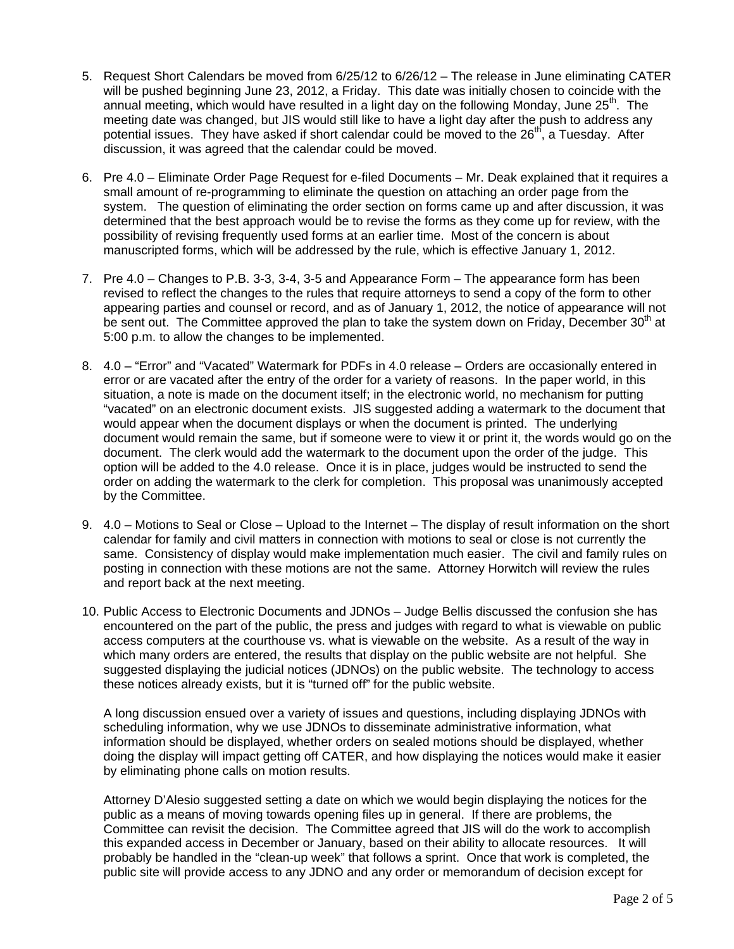- 5. Request Short Calendars be moved from 6/25/12 to 6/26/12 The release in June eliminating CATER will be pushed beginning June 23, 2012, a Friday. This date was initially chosen to coincide with the annual meeting, which would have resulted in a light day on the following Monday, June  $25<sup>th</sup>$ . The meeting date was changed, but JIS would still like to have a light day after the push to address any potential issues. They have asked if short calendar could be moved to the  $26<sup>th</sup>$ , a Tuesday. After discussion, it was agreed that the calendar could be moved.
- 6. Pre 4.0 Eliminate Order Page Request for e-filed Documents Mr. Deak explained that it requires a small amount of re-programming to eliminate the question on attaching an order page from the system. The question of eliminating the order section on forms came up and after discussion, it was determined that the best approach would be to revise the forms as they come up for review, with the possibility of revising frequently used forms at an earlier time. Most of the concern is about manuscripted forms, which will be addressed by the rule, which is effective January 1, 2012.
- 7. Pre 4.0 Changes to P.B. 3-3, 3-4, 3-5 and Appearance Form The appearance form has been revised to reflect the changes to the rules that require attorneys to send a copy of the form to other appearing parties and counsel or record, and as of January 1, 2012, the notice of appearance will not be sent out. The Committee approved the plan to take the system down on Friday, December  $30<sup>th</sup>$  at 5:00 p.m. to allow the changes to be implemented.
- 8. 4.0 "Error" and "Vacated" Watermark for PDFs in 4.0 release Orders are occasionally entered in error or are vacated after the entry of the order for a variety of reasons. In the paper world, in this situation, a note is made on the document itself; in the electronic world, no mechanism for putting "vacated" on an electronic document exists. JIS suggested adding a watermark to the document that would appear when the document displays or when the document is printed. The underlying document would remain the same, but if someone were to view it or print it, the words would go on the document. The clerk would add the watermark to the document upon the order of the judge. This option will be added to the 4.0 release. Once it is in place, judges would be instructed to send the order on adding the watermark to the clerk for completion. This proposal was unanimously accepted by the Committee.
- 9. 4.0 Motions to Seal or Close Upload to the Internet The display of result information on the short calendar for family and civil matters in connection with motions to seal or close is not currently the same. Consistency of display would make implementation much easier. The civil and family rules on posting in connection with these motions are not the same. Attorney Horwitch will review the rules and report back at the next meeting.
- 10. Public Access to Electronic Documents and JDNOs Judge Bellis discussed the confusion she has encountered on the part of the public, the press and judges with regard to what is viewable on public access computers at the courthouse vs. what is viewable on the website. As a result of the way in which many orders are entered, the results that display on the public website are not helpful. She suggested displaying the judicial notices (JDNOs) on the public website. The technology to access these notices already exists, but it is "turned off" for the public website.

A long discussion ensued over a variety of issues and questions, including displaying JDNOs with scheduling information, why we use JDNOs to disseminate administrative information, what information should be displayed, whether orders on sealed motions should be displayed, whether doing the display will impact getting off CATER, and how displaying the notices would make it easier by eliminating phone calls on motion results.

Attorney D'Alesio suggested setting a date on which we would begin displaying the notices for the public as a means of moving towards opening files up in general. If there are problems, the Committee can revisit the decision. The Committee agreed that JIS will do the work to accomplish this expanded access in December or January, based on their ability to allocate resources. It will probably be handled in the "clean-up week" that follows a sprint. Once that work is completed, the public site will provide access to any JDNO and any order or memorandum of decision except for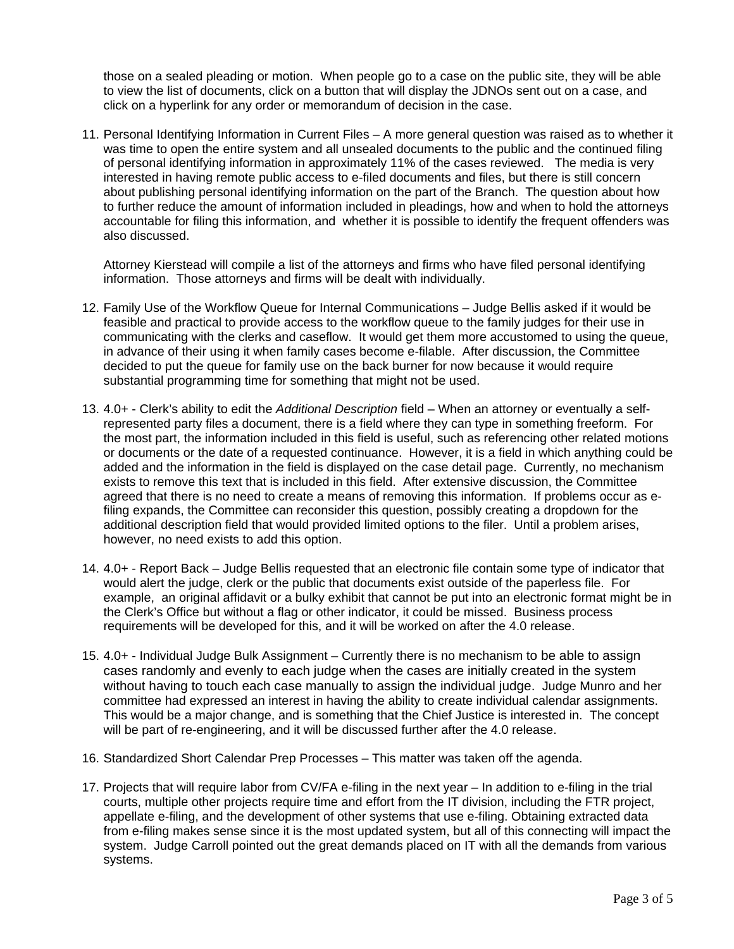those on a sealed pleading or motion. When people go to a case on the public site, they will be able to view the list of documents, click on a button that will display the JDNOs sent out on a case, and click on a hyperlink for any order or memorandum of decision in the case.

11. Personal Identifying Information in Current Files – A more general question was raised as to whether it was time to open the entire system and all unsealed documents to the public and the continued filing of personal identifying information in approximately 11% of the cases reviewed. The media is very interested in having remote public access to e-filed documents and files, but there is still concern about publishing personal identifying information on the part of the Branch. The question about how to further reduce the amount of information included in pleadings, how and when to hold the attorneys accountable for filing this information, and whether it is possible to identify the frequent offenders was also discussed.

Attorney Kierstead will compile a list of the attorneys and firms who have filed personal identifying information. Those attorneys and firms will be dealt with individually.

- 12. Family Use of the Workflow Queue for Internal Communications Judge Bellis asked if it would be feasible and practical to provide access to the workflow queue to the family judges for their use in communicating with the clerks and caseflow. It would get them more accustomed to using the queue, in advance of their using it when family cases become e-filable. After discussion, the Committee decided to put the queue for family use on the back burner for now because it would require substantial programming time for something that might not be used.
- 13. 4.0+ Clerk's ability to edit the *Additional Description* field When an attorney or eventually a selfrepresented party files a document, there is a field where they can type in something freeform. For the most part, the information included in this field is useful, such as referencing other related motions or documents or the date of a requested continuance. However, it is a field in which anything could be added and the information in the field is displayed on the case detail page. Currently, no mechanism exists to remove this text that is included in this field. After extensive discussion, the Committee agreed that there is no need to create a means of removing this information. If problems occur as efiling expands, the Committee can reconsider this question, possibly creating a dropdown for the additional description field that would provided limited options to the filer. Until a problem arises, however, no need exists to add this option.
- 14. 4.0+ Report Back Judge Bellis requested that an electronic file contain some type of indicator that would alert the judge, clerk or the public that documents exist outside of the paperless file. For example, an original affidavit or a bulky exhibit that cannot be put into an electronic format might be in the Clerk's Office but without a flag or other indicator, it could be missed. Business process requirements will be developed for this, and it will be worked on after the 4.0 release.
- 15. 4.0+ Individual Judge Bulk Assignment Currently there is no mechanism to be able to assign cases randomly and evenly to each judge when the cases are initially created in the system without having to touch each case manually to assign the individual judge. Judge Munro and her committee had expressed an interest in having the ability to create individual calendar assignments. This would be a major change, and is something that the Chief Justice is interested in. The concept will be part of re-engineering, and it will be discussed further after the 4.0 release.
- 16. Standardized Short Calendar Prep Processes This matter was taken off the agenda.
- 17. Projects that will require labor from CV/FA e-filing in the next year In addition to e-filing in the trial courts, multiple other projects require time and effort from the IT division, including the FTR project, appellate e-filing, and the development of other systems that use e-filing. Obtaining extracted data from e-filing makes sense since it is the most updated system, but all of this connecting will impact the system. Judge Carroll pointed out the great demands placed on IT with all the demands from various systems.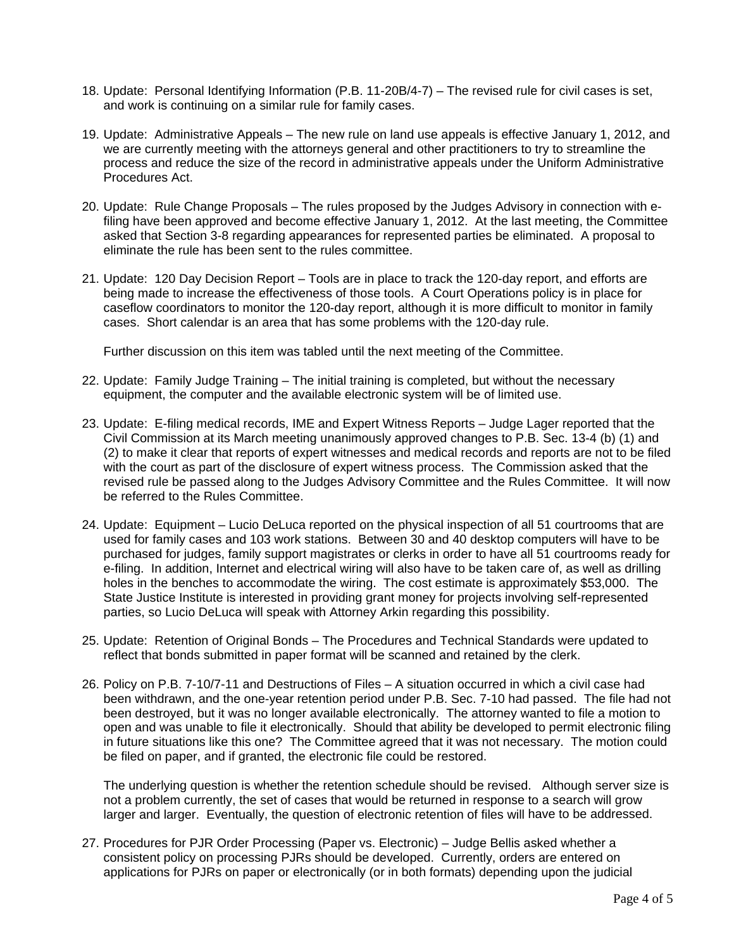- 18. Update: Personal Identifying Information (P.B. 11-20B/4-7) The revised rule for civil cases is set, and work is continuing on a similar rule for family cases.
- 19. Update: Administrative Appeals The new rule on land use appeals is effective January 1, 2012, and we are currently meeting with the attorneys general and other practitioners to try to streamline the process and reduce the size of the record in administrative appeals under the Uniform Administrative Procedures Act.
- 20. Update: Rule Change Proposals The rules proposed by the Judges Advisory in connection with efiling have been approved and become effective January 1, 2012. At the last meeting, the Committee asked that Section 3-8 regarding appearances for represented parties be eliminated. A proposal to eliminate the rule has been sent to the rules committee.
- 21. Update: 120 Day Decision Report Tools are in place to track the 120-day report, and efforts are being made to increase the effectiveness of those tools. A Court Operations policy is in place for caseflow coordinators to monitor the 120-day report, although it is more difficult to monitor in family cases. Short calendar is an area that has some problems with the 120-day rule.

Further discussion on this item was tabled until the next meeting of the Committee.

- 22. Update: Family Judge Training The initial training is completed, but without the necessary equipment, the computer and the available electronic system will be of limited use.
- 23. Update: E-filing medical records, IME and Expert Witness Reports Judge Lager reported that the Civil Commission at its March meeting unanimously approved changes to P.B. Sec. 13-4 (b) (1) and (2) to make it clear that reports of expert witnesses and medical records and reports are not to be filed with the court as part of the disclosure of expert witness process. The Commission asked that the revised rule be passed along to the Judges Advisory Committee and the Rules Committee. It will now be referred to the Rules Committee.
- 24. Update: Equipment Lucio DeLuca reported on the physical inspection of all 51 courtrooms that are used for family cases and 103 work stations. Between 30 and 40 desktop computers will have to be purchased for judges, family support magistrates or clerks in order to have all 51 courtrooms ready for e-filing. In addition, Internet and electrical wiring will also have to be taken care of, as well as drilling holes in the benches to accommodate the wiring. The cost estimate is approximately \$53,000. The State Justice Institute is interested in providing grant money for projects involving self-represented parties, so Lucio DeLuca will speak with Attorney Arkin regarding this possibility.
- 25. Update: Retention of Original Bonds The Procedures and Technical Standards were updated to reflect that bonds submitted in paper format will be scanned and retained by the clerk.
- 26. Policy on P.B. 7-10/7-11 and Destructions of Files A situation occurred in which a civil case had been withdrawn, and the one-year retention period under P.B. Sec. 7-10 had passed. The file had not been destroyed, but it was no longer available electronically. The attorney wanted to file a motion to open and was unable to file it electronically. Should that ability be developed to permit electronic filing in future situations like this one? The Committee agreed that it was not necessary. The motion could be filed on paper, and if granted, the electronic file could be restored.

The underlying question is whether the retention schedule should be revised. Although server size is not a problem currently, the set of cases that would be returned in response to a search will grow larger and larger. Eventually, the question of electronic retention of files will have to be addressed.

27. Procedures for PJR Order Processing (Paper vs. Electronic) – Judge Bellis asked whether a consistent policy on processing PJRs should be developed. Currently, orders are entered on applications for PJRs on paper or electronically (or in both formats) depending upon the judicial